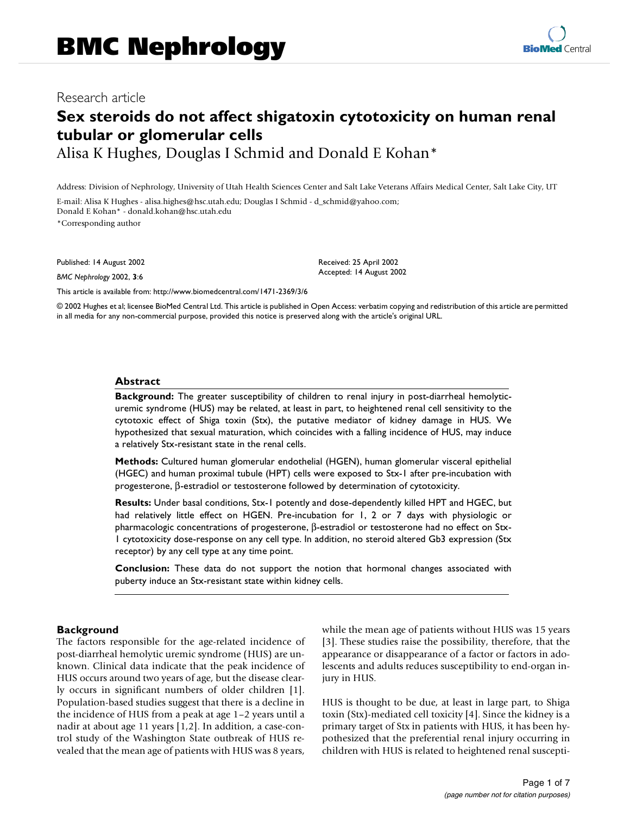# **Sex steroids do not affect shigatoxin cytotoxicity on human renal tubular or glomerular cells**

Alisa K Hughes, Douglas I Schmid and Donald E Kohan\*

Address: Division of Nephrology, University of Utah Health Sciences Center and Salt Lake Veterans Affairs Medical Center, Salt Lake City, UT

E-mail: Alisa K Hughes - alisa.highes@hsc.utah.edu; Douglas I Schmid - d\_schmid@yahoo.com; Donald E Kohan\* - donald.kohan@hsc.utah.edu

\*Corresponding author

Published: 14 August 2002

*BMC Nephrology* 2002, **3**:6

Received: 25 April 2002 Accepted: 14 August 2002

[This article is available from: http://www.biomedcentral.com/1471-2369/3/6](http://www.biomedcentral.com/1471-2369/3/6)

© 2002 Hughes et al; licensee BioMed Central Ltd. This article is published in Open Access: verbatim copying and redistribution of this article are permitted in all media for any non-commercial purpose, provided this notice is preserved along with the article's original URL.

#### **Abstract**

**Background:** The greater susceptibility of children to renal injury in post-diarrheal hemolyticuremic syndrome (HUS) may be related, at least in part, to heightened renal cell sensitivity to the cytotoxic effect of Shiga toxin (Stx), the putative mediator of kidney damage in HUS. We hypothesized that sexual maturation, which coincides with a falling incidence of HUS, may induce a relatively Stx-resistant state in the renal cells.

**Methods:** Cultured human glomerular endothelial (HGEN), human glomerular visceral epithelial (HGEC) and human proximal tubule (HPT) cells were exposed to Stx-1 after pre-incubation with progesterone, β-estradiol or testosterone followed by determination of cytotoxicity.

**Results:** Under basal conditions, Stx-1 potently and dose-dependently killed HPT and HGEC, but had relatively little effect on HGEN. Pre-incubation for 1, 2 or 7 days with physiologic or pharmacologic concentrations of progesterone, β-estradiol or testosterone had no effect on Stx-1 cytotoxicity dose-response on any cell type. In addition, no steroid altered Gb3 expression (Stx receptor) by any cell type at any time point.

**Conclusion:** These data do not support the notion that hormonal changes associated with puberty induce an Stx-resistant state within kidney cells.

## **Background**

The factors responsible for the age-related incidence of post-diarrheal hemolytic uremic syndrome (HUS) are unknown. Clinical data indicate that the peak incidence of HUS occurs around two years of age, but the disease clearly occurs in significant numbers of older children [1]. Population-based studies suggest that there is a decline in the incidence of HUS from a peak at age 1–2 years until a nadir at about age 11 years [1,2]. In addition, a case-control study of the Washington State outbreak of HUS revealed that the mean age of patients with HUS was 8 years,

while the mean age of patients without HUS was 15 years [3]. These studies raise the possibility, therefore, that the appearance or disappearance of a factor or factors in adolescents and adults reduces susceptibility to end-organ injury in HUS.

HUS is thought to be due, at least in large part, to Shiga toxin (Stx)-mediated cell toxicity [4]. Since the kidney is a primary target of Stx in patients with HUS, it has been hypothesized that the preferential renal injury occurring in children with HUS is related to heightened renal suscepti-

**[BioMed](http://www.biomedcentral.com/)** Central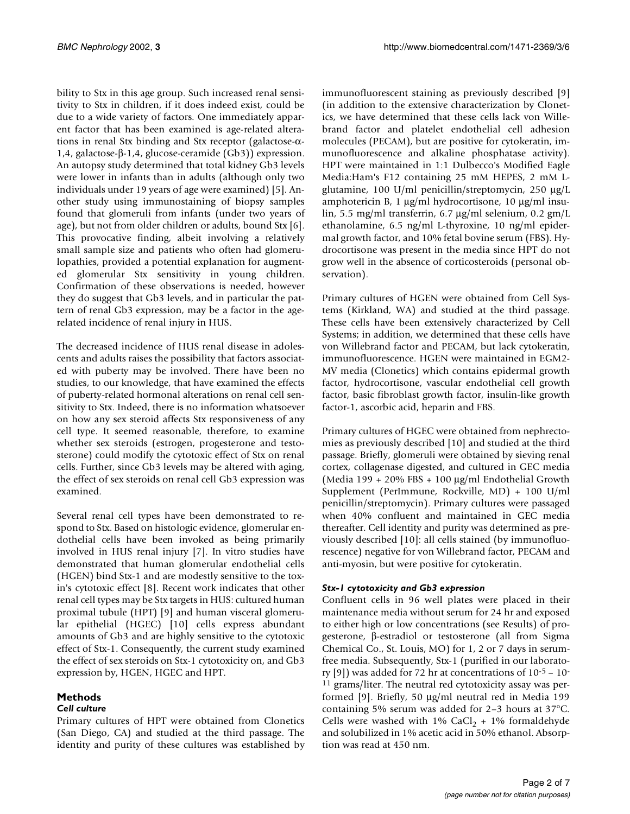bility to Stx in this age group. Such increased renal sensitivity to Stx in children, if it does indeed exist, could be due to a wide variety of factors. One immediately apparent factor that has been examined is age-related alterations in renal Stx binding and Stx receptor (galactose-α-1,4, galactose-β-1,4, glucose-ceramide (Gb3)) expression. An autopsy study determined that total kidney Gb3 levels were lower in infants than in adults (although only two individuals under 19 years of age were examined) [5]. Another study using immunostaining of biopsy samples found that glomeruli from infants (under two years of age), but not from older children or adults, bound Stx [6]. This provocative finding, albeit involving a relatively small sample size and patients who often had glomerulopathies, provided a potential explanation for augmented glomerular Stx sensitivity in young children. Confirmation of these observations is needed, however they do suggest that Gb3 levels, and in particular the pattern of renal Gb3 expression, may be a factor in the agerelated incidence of renal injury in HUS.

The decreased incidence of HUS renal disease in adolescents and adults raises the possibility that factors associated with puberty may be involved. There have been no studies, to our knowledge, that have examined the effects of puberty-related hormonal alterations on renal cell sensitivity to Stx. Indeed, there is no information whatsoever on how any sex steroid affects Stx responsiveness of any cell type. It seemed reasonable, therefore, to examine whether sex steroids (estrogen, progesterone and testosterone) could modify the cytotoxic effect of Stx on renal cells. Further, since Gb3 levels may be altered with aging, the effect of sex steroids on renal cell Gb3 expression was examined.

Several renal cell types have been demonstrated to respond to Stx. Based on histologic evidence, glomerular endothelial cells have been invoked as being primarily involved in HUS renal injury [7]. In vitro studies have demonstrated that human glomerular endothelial cells (HGEN) bind Stx-1 and are modestly sensitive to the toxin's cytotoxic effect [8]. Recent work indicates that other renal cell types may be Stx targets in HUS: cultured human proximal tubule (HPT) [9] and human visceral glomerular epithelial (HGEC) [10] cells express abundant amounts of Gb3 and are highly sensitive to the cytotoxic effect of Stx-1. Consequently, the current study examined the effect of sex steroids on Stx-1 cytotoxicity on, and Gb3 expression by, HGEN, HGEC and HPT.

# **Methods**

## *Cell culture*

Primary cultures of HPT were obtained from Clonetics (San Diego, CA) and studied at the third passage. The identity and purity of these cultures was established by

immunofluorescent staining as previously described [9] (in addition to the extensive characterization by Clonetics, we have determined that these cells lack von Willebrand factor and platelet endothelial cell adhesion molecules (PECAM), but are positive for cytokeratin, immunofluorescence and alkaline phosphatase activity). HPT were maintained in 1:1 Dulbecco's Modified Eagle Media:Ham's F12 containing 25 mM HEPES, 2 mM Lglutamine, 100 U/ml penicillin/streptomycin, 250 µg/L amphotericin B, 1 µg/ml hydrocortisone, 10 µg/ml insulin, 5.5 mg/ml transferrin, 6.7 µg/ml selenium, 0.2 gm/L ethanolamine, 6.5 ng/ml L-thyroxine, 10 ng/ml epidermal growth factor, and 10% fetal bovine serum (FBS). Hydrocortisone was present in the media since HPT do not grow well in the absence of corticosteroids (personal observation).

Primary cultures of HGEN were obtained from Cell Systems (Kirkland, WA) and studied at the third passage. These cells have been extensively characterized by Cell Systems; in addition, we determined that these cells have von Willebrand factor and PECAM, but lack cytokeratin, immunofluorescence. HGEN were maintained in EGM2- MV media (Clonetics) which contains epidermal growth factor, hydrocortisone, vascular endothelial cell growth factor, basic fibroblast growth factor, insulin-like growth factor-1, ascorbic acid, heparin and FBS.

Primary cultures of HGEC were obtained from nephrectomies as previously described [10] and studied at the third passage. Briefly, glomeruli were obtained by sieving renal cortex, collagenase digested, and cultured in GEC media (Media 199 + 20% FBS + 100  $\mu$ g/ml Endothelial Growth Supplement (PerImmune, Rockville, MD) + 100 U/ml penicillin/streptomycin). Primary cultures were passaged when 40% confluent and maintained in GEC media thereafter. Cell identity and purity was determined as previously described [10]: all cells stained (by immunofluorescence) negative for von Willebrand factor, PECAM and anti-myosin, but were positive for cytokeratin.

## *Stx-1 cytotoxicity and Gb3 expression*

Confluent cells in 96 well plates were placed in their maintenance media without serum for 24 hr and exposed to either high or low concentrations (see Results) of progesterone, β-estradiol or testosterone (all from Sigma Chemical Co., St. Louis, MO) for 1, 2 or 7 days in serumfree media. Subsequently, Stx-1 (purified in our laboratory [9]) was added for 72 hr at concentrations of  $10^{-5}$  –  $10^{-7}$ 11 grams/liter. The neutral red cytotoxicity assay was performed [9]. Briefly, 50 µg/ml neutral red in Media 199 containing 5% serum was added for 2–3 hours at 37°C. Cells were washed with  $1\%$  CaCl<sub>2</sub> +  $1\%$  formaldehyde and solubilized in 1% acetic acid in 50% ethanol. Absorption was read at 450 nm.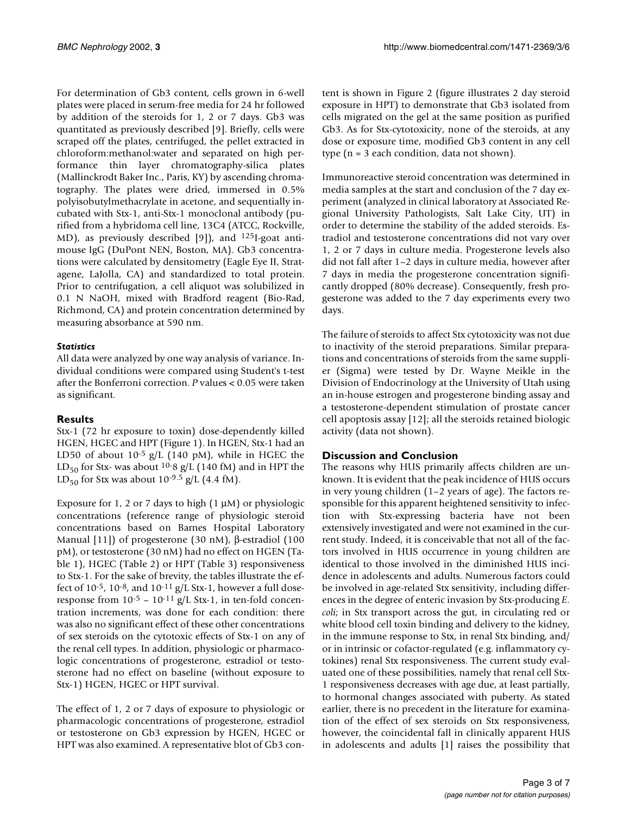For determination of Gb3 content, cells grown in 6-well plates were placed in serum-free media for 24 hr followed by addition of the steroids for 1, 2 or 7 days. Gb3 was quantitated as previously described [9]. Briefly, cells were scraped off the plates, centrifuged, the pellet extracted in chloroform:methanol:water and separated on high performance thin layer chromatography-silica plates (Mallinckrodt Baker Inc., Paris, KY) by ascending chromatography. The plates were dried, immersed in 0.5% polyisobutylmethacrylate in acetone, and sequentially incubated with Stx-1, anti-Stx-1 monoclonal antibody (purified from a hybridoma cell line, 13C4 (ATCC, Rockville, MD), as previously described [9]), and  $^{125}I$ -goat antimouse IgG (DuPont NEN, Boston, MA). Gb3 concentrations were calculated by densitometry (Eagle Eye II, Stratagene, LaJolla, CA) and standardized to total protein. Prior to centrifugation, a cell aliquot was solubilized in 0.1 N NaOH, mixed with Bradford reagent (Bio-Rad, Richmond, CA) and protein concentration determined by measuring absorbance at 590 nm.

## *Statistics*

All data were analyzed by one way analysis of variance. Individual conditions were compared using Student's t-test after the Bonferroni correction. *P* values < 0.05 were taken as significant.

# **Results**

Stx-1 (72 hr exposure to toxin) dose-dependently killed HGEN, HGEC and HPT (Figure 1). In HGEN, Stx-1 had an LD50 of about  $10^{-5}$  g/L (140 pM), while in HGEC the LD<sub>50</sub> for Stx- was about <sup>10-</sup>8 g/L (140 fM) and in HPT the LD<sub>50</sub> for Stx was about 10<sup>-9.5</sup> g/L (4.4 fM).

Exposure for 1, 2 or 7 days to high  $(1 \mu M)$  or physiologic concentrations (reference range of physiologic steroid concentrations based on Barnes Hospital Laboratory Manual [11]) of progesterone (30 nM), β-estradiol (100 pM), or testosterone (30 nM) had no effect on HGEN (Table 1), HGEC (Table 2) or HPT (Table 3) responsiveness to Stx-1. For the sake of brevity, the tables illustrate the effect of  $10^{-5}$ ,  $10^{-8}$ , and  $10^{-11}$  g/L Stx-1, however a full doseresponse from  $10^{-5}$  –  $10^{-11}$  g/L Stx-1, in ten-fold concentration increments, was done for each condition: there was also no significant effect of these other concentrations of sex steroids on the cytotoxic effects of Stx-1 on any of the renal cell types. In addition, physiologic or pharmacologic concentrations of progesterone, estradiol or testosterone had no effect on baseline (without exposure to Stx-1) HGEN, HGEC or HPT survival.

The effect of 1, 2 or 7 days of exposure to physiologic or pharmacologic concentrations of progesterone, estradiol or testosterone on Gb3 expression by HGEN, HGEC or HPT was also examined. A representative blot of Gb3 content is shown in Figure [2](#page-5-0) (figure illustrates 2 day steroid exposure in HPT) to demonstrate that Gb3 isolated from cells migrated on the gel at the same position as purified Gb3. As for Stx-cytotoxicity, none of the steroids, at any dose or exposure time, modified Gb3 content in any cell type (n = 3 each condition, data not shown).

Immunoreactive steroid concentration was determined in media samples at the start and conclusion of the 7 day experiment (analyzed in clinical laboratory at Associated Regional University Pathologists, Salt Lake City, UT) in order to determine the stability of the added steroids. Estradiol and testosterone concentrations did not vary over 1, 2 or 7 days in culture media. Progesterone levels also did not fall after 1–2 days in culture media, however after 7 days in media the progesterone concentration significantly dropped (80% decrease). Consequently, fresh progesterone was added to the 7 day experiments every two days.

The failure of steroids to affect Stx cytotoxicity was not due to inactivity of the steroid preparations. Similar preparations and concentrations of steroids from the same supplier (Sigma) were tested by Dr. Wayne Meikle in the Division of Endocrinology at the University of Utah using an in-house estrogen and progesterone binding assay and a testosterone-dependent stimulation of prostate cancer cell apoptosis assay [12]; all the steroids retained biologic activity (data not shown).

# **Discussion and Conclusion**

The reasons why HUS primarily affects children are unknown. It is evident that the peak incidence of HUS occurs in very young children (1–2 years of age). The factors responsible for this apparent heightened sensitivity to infection with Stx-expressing bacteria have not been extensively investigated and were not examined in the current study. Indeed, it is conceivable that not all of the factors involved in HUS occurrence in young children are identical to those involved in the diminished HUS incidence in adolescents and adults. Numerous factors could be involved in age-related Stx sensitivity, including differences in the degree of enteric invasion by Stx-producing *E. coli*; in Stx transport across the gut, in circulating red or white blood cell toxin binding and delivery to the kidney, in the immune response to Stx, in renal Stx binding, and/ or in intrinsic or cofactor-regulated (e.g. inflammatory cytokines) renal Stx responsiveness. The current study evaluated one of these possibilities, namely that renal cell Stx-1 responsiveness decreases with age due, at least partially, to hormonal changes associated with puberty. As stated earlier, there is no precedent in the literature for examination of the effect of sex steroids on Stx responsiveness, however, the coincidental fall in clinically apparent HUS in adolescents and adults [1] raises the possibility that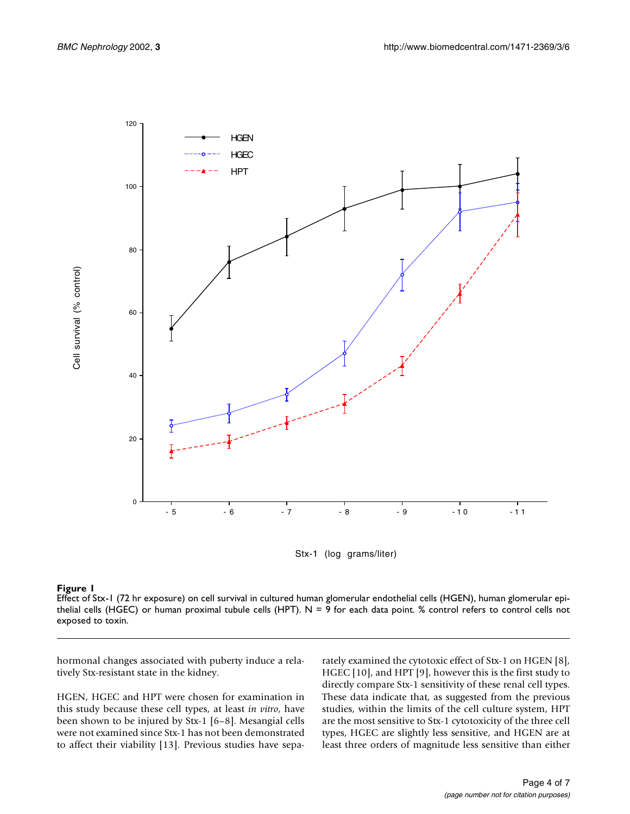

Stx-1 (log grams/liter)

#### **Figure 1**

Effect of Stx-1 (72 hr exposure) on cell survival in cultured human glomerular endothelial cells (HGEN), human glomerular epithelial cells (HGEC) or human proximal tubule cells (HPT).  $N = 9$  for each data point. % control refers to control cells not exposed to toxin.

hormonal changes associated with puberty induce a relatively Stx-resistant state in the kidney.

HGEN, HGEC and HPT were chosen for examination in this study because these cell types, at least *in vitro*, have been shown to be injured by Stx-1 [6–8]. Mesangial cells were not examined since Stx-1 has not been demonstrated to affect their viability [13]. Previous studies have separately examined the cytotoxic effect of Stx-1 on HGEN [8], HGEC [10], and HPT [9], however this is the first study to directly compare Stx-1 sensitivity of these renal cell types. These data indicate that, as suggested from the previous studies, within the limits of the cell culture system, HPT are the most sensitive to Stx-1 cytotoxicity of the three cell types, HGEC are slightly less sensitive, and HGEN are at least three orders of magnitude less sensitive than either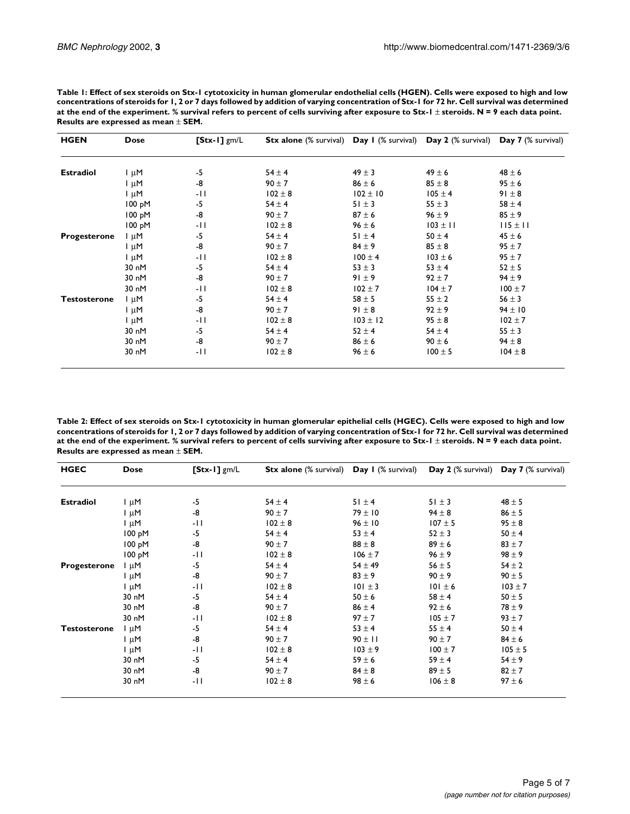| <b>HGEN</b>         | <b>Dose</b> | $\sqrt{\text{Stx-1}}$ gm/L | <b>Stx alone</b> (% survival) <b>Day I</b> (% survival) <b>Day 2</b> (% survival) <b>Day 7</b> (% survival) |              |              |              |
|---------------------|-------------|----------------------------|-------------------------------------------------------------------------------------------------------------|--------------|--------------|--------------|
|                     |             |                            |                                                                                                             |              |              |              |
| <b>Estradiol</b>    | l µM        | -5                         | $54 \pm 4$                                                                                                  | $49 \pm 3$   | $49 \pm 6$   | $48 \pm 6$   |
|                     | l µM        | -8                         | $90 \pm 7$                                                                                                  | $86 \pm 6$   | $85 \pm 8$   | $95 \pm 6$   |
|                     | $1 \mu M$   | -11                        | $102 \pm 8$                                                                                                 | $102 \pm 10$ | $105 \pm 4$  | $91 \pm 8$   |
|                     | 100 pM      | -5                         | $54 \pm 4$                                                                                                  | $51 \pm 3$   | $55 \pm 3$   | $58 \pm 4$   |
|                     | 100 pM      | -8                         | $90 \pm 7$                                                                                                  | $87 \pm 6$   | $96 \pm 9$   | $85 \pm 9$   |
|                     | 100 pM      | -11                        | $102 \pm 8$                                                                                                 | $96 \pm 6$   | $103 \pm 11$ | $115 \pm 11$ |
| <b>Progesterone</b> | $\ln M$     | -5                         | $54 \pm 4$                                                                                                  | $51 \pm 4$   | $50 \pm 4$   | $45 \pm 6$   |
|                     | l µM        | -8                         | $90 \pm 7$                                                                                                  | $84 \pm 9$   | $85 \pm 8$   | $95 \pm 7$   |
|                     | $I \mu M$   | -11                        | $102 \pm 8$                                                                                                 | $100 \pm 4$  | $103 \pm 6$  | $95 \pm 7$   |
|                     | 30 nM       | $-5$                       | $54 \pm 4$                                                                                                  | $53 \pm 3$   | $53 \pm 4$   | $52 \pm 5$   |
|                     | 30 nM       | -8                         | $90 \pm 7$                                                                                                  | $91 \pm 9$   | $92 \pm 7$   | $94 \pm 9$   |
|                     | 30 nM       | -11                        | $102 \pm 8$                                                                                                 | $102 \pm 7$  | $104 \pm 7$  | $100 \pm 7$  |
| <b>Testosterone</b> | $I \mu M$   | $-5$                       | $54 \pm 4$                                                                                                  | $58 \pm 5$   | $55 \pm 2$   | $56 \pm 3$   |
|                     | l µM        | -8                         | $90 \pm 7$                                                                                                  | $91 \pm 8$   | $92 \pm 9$   | $94 \pm 10$  |
|                     | $1 \mu M$   | -11                        | $102 \pm 8$                                                                                                 | $103 \pm 12$ | $95 \pm 8$   | $102 \pm 7$  |
|                     | 30 nM       | -5                         | $54 \pm 4$                                                                                                  | $52 \pm 4$   | $54 \pm 4$   | $55 \pm 3$   |
|                     | 30 nM       | -8                         | $90 \pm 7$                                                                                                  | $86 \pm 6$   | $90 \pm 6$   | $94 \pm 8$   |
|                     | 30 nM       | -11                        | $102 \pm 8$                                                                                                 | $96 \pm 6$   | $100 \pm 5$  | $104 \pm 8$  |

**Table 1: Effect of sex steroids on Stx-1 cytotoxicity in human glomerular endothelial cells (HGEN). Cells were exposed to high and low concentrations of steroids for 1, 2 or 7 days followed by addition of varying concentration of Stx-1 for 72 hr. Cell survival was determined at the end of the experiment. % survival refers to percent of cells surviving after exposure to Stx-1** ± **steroids. N = 9 each data point. Results are expressed as mean** ± **SEM.**

**Table 2: Effect of sex steroids on Stx-1 cytotoxicity in human glomerular epithelial cells (HGEC). Cells were exposed to high and low concentrations of steroids for 1, 2 or 7 days followed by addition of varying concentration of Stx-1 for 72 hr. Cell survival was determined at the end of the experiment. % survival refers to percent of cells surviving after exposure to Stx-1** ± **steroids. N = 9 each data point. Results are expressed as mean** ± **SEM.**

| <b>HGEC</b>         | <b>Dose</b> | $[Stx-1]$ gm/L | <b>Stx alone</b> (% survival) | Day I (% survival) | Day 2 (% survival) | Day 7 (% survival) |
|---------------------|-------------|----------------|-------------------------------|--------------------|--------------------|--------------------|
|                     |             |                |                               |                    |                    |                    |
| <b>Estradiol</b>    | $\ln M$     | $-5$           | $54 \pm 4$                    | $51 \pm 4$         | $51 \pm 3$         | $48 \pm 5$         |
|                     | $I \mu M$   | -8             | $90 \pm 7$                    | $79 \pm 10$        | $94 \pm 8$         | $86 \pm 5$         |
|                     | $\ln \mu$ M | -11            | $102 \pm 8$                   | $96 \pm 10$        | $107 \pm 5$        | $95 \pm 8$         |
|                     | 100 pM      | $-5$           | $54 \pm 4$                    | $53 \pm 4$         | $52 \pm 3$         | $50 \pm 4$         |
|                     | 100 pM      | -8             | $90 \pm 7$                    | $88 \pm 8$         | $89 \pm 6$         | $83 + 7$           |
|                     | 100 pM      | -11            | $102 \pm 8$                   | $106 \pm 7$        | $96 \pm 9$         | $98 + 9$           |
| <b>Progesterone</b> | l µM        | $-5$           | $54 \pm 4$                    | $54 \pm 49$        | 56 $\pm$ 5         | $54 \pm 2$         |
|                     | $\ln \mu$ M | -8             | $90 \pm 7$                    | $83 \pm 9$         | $90 \pm 9$         | $90 \pm 5$         |
|                     | $\ln \mu$ M | -11            | $102 \pm 8$                   | $101 \pm 3$        | $101 \pm 6$        | $103 \pm 7$        |
|                     | 30 nM       | $-5$           | $54 \pm 4$                    | $50 \pm 6$         | $58 \pm 4$         | $50 \pm 5$         |
|                     | 30 nM       | -8             | $90 \pm 7$                    | $86 \pm 4$         | $92 \pm 6$         | $78 \pm 9$         |
|                     | 30 nM       | -11            | $102 \pm 8$                   | $97 + 7$           | $105 \pm 7$        | $93 + 7$           |
| <b>Testosterone</b> | l µM        | -5             | $54 \pm 4$                    | $53 \pm 4$         | $55 \pm 4$         | $50 \pm 4$         |
|                     | $\ln \mu$ M | -8             | $90 \pm 7$                    | $90 \pm 11$        | $90 \pm 7$         | $84 \pm 6$         |
|                     | $\ln \mu$ M | -11            | $102 \pm 8$                   | $103 \pm 9$        | $100 \pm 7$        | $105 \pm 5$        |
|                     | 30 nM       | $-5$           | $54 \pm 4$                    | $59 \pm 6$         | $59 \pm 4$         | $54 \pm 9$         |
|                     | 30 nM       | -8             | $90 \pm 7$                    | $84 \pm 8$         | $89 \pm 5$         | $82 \pm 7$         |
|                     | 30 nM       | -11            | $102 \pm 8$                   | $98 \pm 6$         | $106 \pm 8$        | $97 \pm 6$         |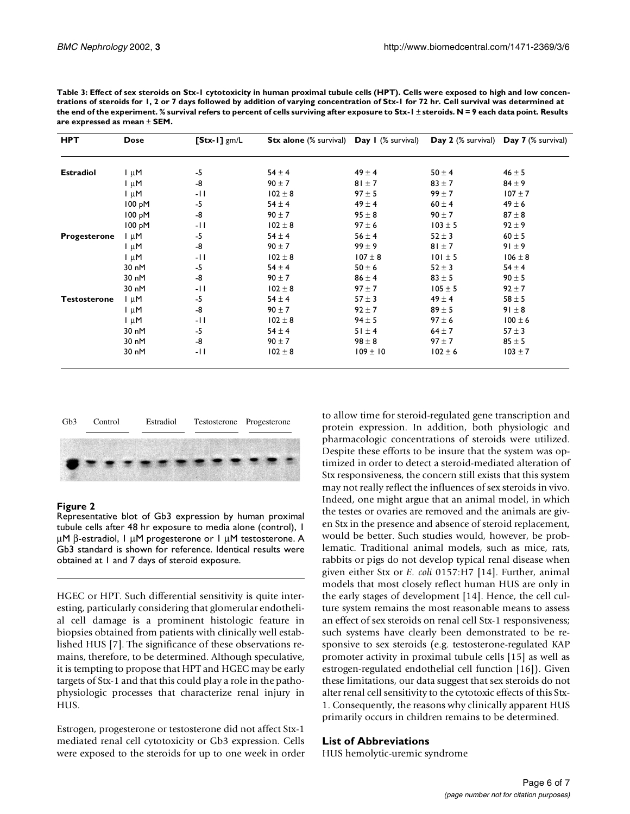| <b>HPT</b>          | <b>Dose</b>        | $[Stx-1]$ gm/L | <b>Stx alone</b> (% survival) <b>Day I</b> (% survival) |              |             | Day 2 (% survival) Day 7 (% survival) |
|---------------------|--------------------|----------------|---------------------------------------------------------|--------------|-------------|---------------------------------------|
| <b>Estradiol</b>    | $\ln M$            | -5             | $54 \pm 4$                                              | $49 \pm 4$   | $50 \pm 4$  | $46 \pm 5$                            |
|                     | $I \mu M$          | -8             | $90 \pm 7$                                              | $81 \pm 7$   | $83 \pm 7$  | $84 \pm 9$                            |
|                     | $I \mu M$          | -11            | $102 \pm 8$                                             | $97 \pm 5$   | $99 \pm 7$  | $107 \pm 7$                           |
|                     | 100 pM             | $-5$           | $54 \pm 4$                                              | $49 \pm 4$   | $60 \pm 4$  | $49 \pm 6$                            |
|                     | 100 pM             | -8             | $90 \pm 7$                                              | $95 \pm 8$   | $90 \pm 7$  | $87 \pm 8$                            |
|                     | 100 pM             | -11            | $102 \pm 8$                                             | $97 \pm 6$   | $103 \pm 5$ | $92 \pm 9$                            |
| <b>Progesterone</b> | l µM               | $-5$           | $54 \pm 4$                                              | $56 \pm 4$   | $52 \pm 3$  | $60 \pm 5$                            |
|                     | $1 \mu M$          | -8             | $90 \pm 7$                                              | $99 \pm 9$   | $81 \pm 7$  | $91 \pm 9$                            |
|                     | $\mathsf{I} \mu M$ | -11            | $102 \pm 8$                                             | $107 \pm 8$  | $101 \pm 5$ | $106 \pm 8$                           |
|                     | 30 nM              | $-5$           | $54 \pm 4$                                              | $50 \pm 6$   | $52 \pm 3$  | $54 \pm 4$                            |
|                     | 30 nM              | -8             | $90 \pm 7$                                              | $86 \pm 4$   | $83 \pm 5$  | $90 \pm 5$                            |
|                     | 30 nM              | -11            | $102 \pm 8$                                             | $97 \pm 7$   | $105 \pm 5$ | $92 \pm 7$                            |
| <b>Testosterone</b> | $I \mu M$          | $-5$           | $54 \pm 4$                                              | $57 + 3$     | $49 \pm 4$  | $58 \pm 5$                            |
|                     | $1 \mu M$          | -8             | $90 \pm 7$                                              | $92 \pm 7$   | $89 \pm 5$  | $91 \pm 8$                            |
|                     | $1 \mu M$          | -11            | $102 \pm 8$                                             | $94 \pm 5$   | $97 \pm 6$  | $100 \pm 6$                           |
|                     | 30 nM              | $-5$           | $54 \pm 4$                                              | $51 \pm 4$   | $64 \pm 7$  | $57 \pm 3$                            |
|                     | 30 nM              | -8             | $90 \pm 7$                                              | $98 \pm 8$   | $97 \pm 7$  | $85 \pm 5$                            |
|                     | 30 nM              | $-11$          | $102 \pm 8$                                             | $109 \pm 10$ | $102 \pm 6$ | $103 \pm 7$                           |

**Table 3: Effect of sex steroids on Stx-1 cytotoxicity in human proximal tubule cells (HPT). Cells were exposed to high and low concentrations of steroids for 1, 2 or 7 days followed by addition of varying concentration of Stx-1 for 72 hr. Cell survival was determined at the end of the experiment. % survival refers to percent of cells surviving after exposure to Stx-1** ± **steroids. N = 9 each data point. Results are expressed as mean** ± **SEM.**



## <span id="page-5-0"></span>**Figure 2**

Representative blot of Gb3 expression by human proximal tubule cells after 48 hr exposure to media alone (control), 1 µM β-estradiol, 1 µM progesterone or 1 µM testosterone. A Gb3 standard is shown for reference. Identical results were obtained at 1 and 7 days of steroid exposure.

HGEC or HPT. Such differential sensitivity is quite interesting, particularly considering that glomerular endothelial cell damage is a prominent histologic feature in biopsies obtained from patients with clinically well established HUS [7]. The significance of these observations remains, therefore, to be determined. Although speculative, it is tempting to propose that HPT and HGEC may be early targets of Stx-1 and that this could play a role in the pathophysiologic processes that characterize renal injury in HUS.

Estrogen, progesterone or testosterone did not affect Stx-1 mediated renal cell cytotoxicity or Gb3 expression. Cells were exposed to the steroids for up to one week in order

to allow time for steroid-regulated gene transcription and protein expression. In addition, both physiologic and pharmacologic concentrations of steroids were utilized. Despite these efforts to be insure that the system was optimized in order to detect a steroid-mediated alteration of Stx responsiveness, the concern still exists that this system may not really reflect the influences of sex steroids in vivo. Indeed, one might argue that an animal model, in which the testes or ovaries are removed and the animals are given Stx in the presence and absence of steroid replacement, would be better. Such studies would, however, be problematic. Traditional animal models, such as mice, rats, rabbits or pigs do not develop typical renal disease when given either Stx or *E. coli* 0157:H7 [14]. Further, animal models that most closely reflect human HUS are only in the early stages of development [14]. Hence, the cell culture system remains the most reasonable means to assess an effect of sex steroids on renal cell Stx-1 responsiveness; such systems have clearly been demonstrated to be responsive to sex steroids (e.g. testosterone-regulated KAP promoter activity in proximal tubule cells [15] as well as estrogen-regulated endothelial cell function [16]). Given these limitations, our data suggest that sex steroids do not alter renal cell sensitivity to the cytotoxic effects of this Stx-1. Consequently, the reasons why clinically apparent HUS primarily occurs in children remains to be determined.

## **List of Abbreviations**

HUS hemolytic-uremic syndrome